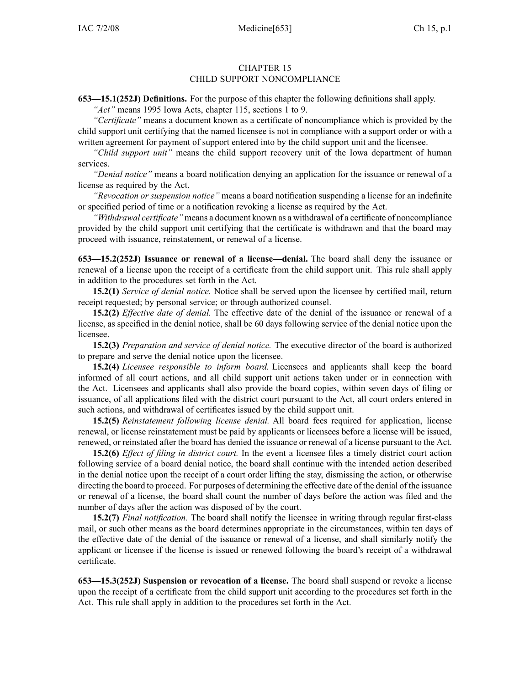## CHAPTER 15 CHILD SUPPORT NONCOMPLIANCE

**653—15.1(252J) Definitions.** For the purpose of this chapter the following definitions shall apply.

*"Act"* means 1995 Iowa Acts, chapter 115, sections 1 to 9.

*"Certificate"* means <sup>a</sup> document known as <sup>a</sup> certificate of noncompliance which is provided by the child suppor<sup>t</sup> unit certifying that the named licensee is not in compliance with <sup>a</sup> suppor<sup>t</sup> order or with <sup>a</sup> written agreemen<sup>t</sup> for paymen<sup>t</sup> of suppor<sup>t</sup> entered into by the child suppor<sup>t</sup> unit and the licensee.

*"Child suppor<sup>t</sup> unit"* means the child suppor<sup>t</sup> recovery unit of the Iowa department of human services.

*"Denial notice"* means <sup>a</sup> board notification denying an application for the issuance or renewal of <sup>a</sup> license as required by the Act.

*"Revocation or suspension notice"* means <sup>a</sup> board notification suspending <sup>a</sup> license for an indefinite or specified period of time or <sup>a</sup> notification revoking <sup>a</sup> license as required by the Act.

*"Withdrawal certificate"* means <sup>a</sup> document known as <sup>a</sup> withdrawal of <sup>a</sup> certificate of noncompliance provided by the child suppor<sup>t</sup> unit certifying that the certificate is withdrawn and that the board may proceed with issuance, reinstatement, or renewal of <sup>a</sup> license.

**653—15.2(252J) Issuance or renewal of <sup>a</sup> license—denial.** The board shall deny the issuance or renewal of <sup>a</sup> license upon the receipt of <sup>a</sup> certificate from the child suppor<sup>t</sup> unit. This rule shall apply in addition to the procedures set forth in the Act.

**15.2(1)** *Service of denial notice.* Notice shall be served upon the licensee by certified mail, return receipt requested; by personal service; or through authorized counsel.

**15.2(2)** *Effective date of denial.* The effective date of the denial of the issuance or renewal of <sup>a</sup> license, as specified in the denial notice, shall be 60 days following service of the denial notice upon the licensee.

**15.2(3)** *Preparation and service of denial notice.* The executive director of the board is authorized to prepare and serve the denial notice upon the licensee.

**15.2(4)** *Licensee responsible to inform board.* Licensees and applicants shall keep the board informed of all court actions, and all child suppor<sup>t</sup> unit actions taken under or in connection with the Act. Licensees and applicants shall also provide the board copies, within seven days of filing or issuance, of all applications filed with the district court pursuan<sup>t</sup> to the Act, all court orders entered in such actions, and withdrawal of certificates issued by the child suppor<sup>t</sup> unit.

**15.2(5)** *Reinstatement following license denial.* All board fees required for application, license renewal, or license reinstatement must be paid by applicants or licensees before <sup>a</sup> license will be issued, renewed, or reinstated after the board has denied the issuance or renewal of <sup>a</sup> license pursuan<sup>t</sup> to the Act.

**15.2(6)** *Effect of filing in district court.* In the event <sup>a</sup> licensee files <sup>a</sup> timely district court action following service of <sup>a</sup> board denial notice, the board shall continue with the intended action described in the denial notice upon the receipt of <sup>a</sup> court order lifting the stay, dismissing the action, or otherwise directing the board to proceed. For purposes of determining the effective date of the denial of the issuance or renewal of <sup>a</sup> license, the board shall count the number of days before the action was filed and the number of days after the action was disposed of by the court.

**15.2(7)** *Final notification.* The board shall notify the licensee in writing through regular first-class mail, or such other means as the board determines appropriate in the circumstances, within ten days of the effective date of the denial of the issuance or renewal of <sup>a</sup> license, and shall similarly notify the applicant or licensee if the license is issued or renewed following the board's receipt of <sup>a</sup> withdrawal certificate.

**653—15.3(252J) Suspension or revocation of <sup>a</sup> license.** The board shall suspend or revoke <sup>a</sup> license upon the receipt of <sup>a</sup> certificate from the child suppor<sup>t</sup> unit according to the procedures set forth in the Act. This rule shall apply in addition to the procedures set forth in the Act.